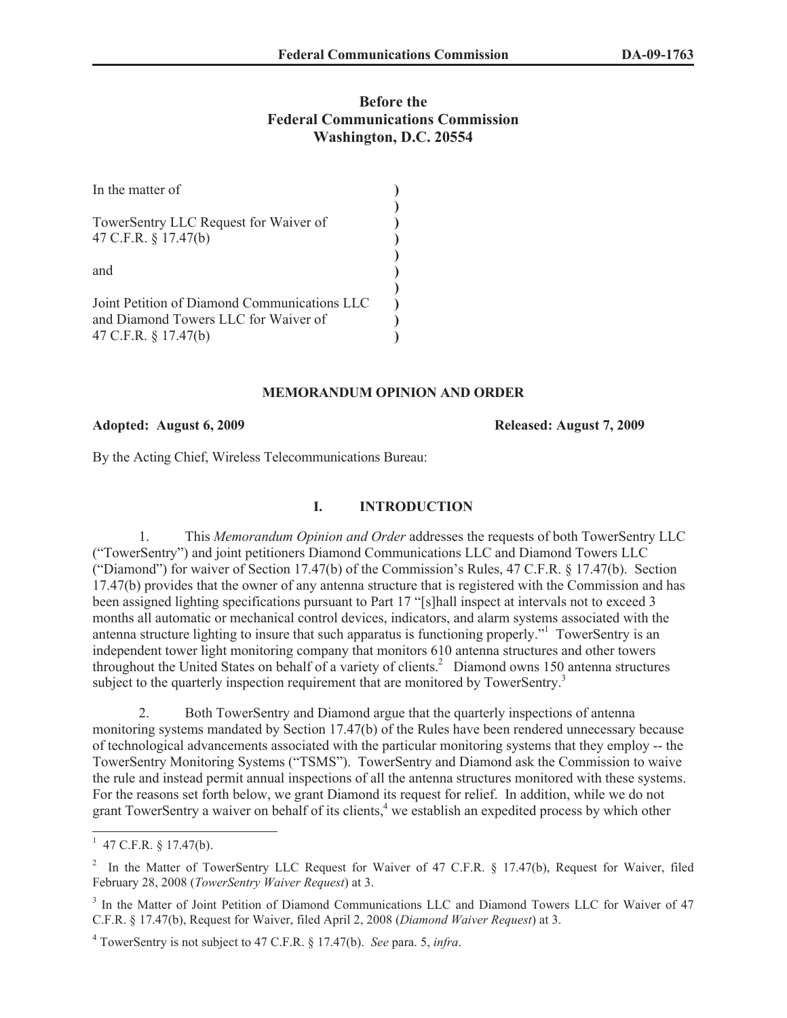# **Before the Federal Communications Commission Washington, D.C. 20554**

| In the matter of                                                                                             |  |
|--------------------------------------------------------------------------------------------------------------|--|
| TowerSentry LLC Request for Waiver of<br>47 C.F.R. § 17.47(b)                                                |  |
| and                                                                                                          |  |
| Joint Petition of Diamond Communications LLC<br>and Diamond Towers LLC for Waiver of<br>47 C.F.R. § 17.47(b) |  |

## **MEMORANDUM OPINION AND ORDER**

## **Adopted: August 6, 2009 Released: August 7, 2009**

By the Acting Chief, Wireless Telecommunications Bureau:

#### **I. INTRODUCTION**

1. This *Memorandum Opinion and Order* addresses the requests of both TowerSentry LLC ("TowerSentry") and joint petitioners Diamond Communications LLC and Diamond Towers LLC ("Diamond") for waiver of Section 17.47(b) of the Commission's Rules, 47 C.F.R. § 17.47(b). Section 17.47(b) provides that the owner of any antenna structure that is registered with the Commission and has been assigned lighting specifications pursuant to Part 17 "[s]hall inspect at intervals not to exceed 3 months all automatic or mechanical control devices, indicators, and alarm systems associated with the antenna structure lighting to insure that such apparatus is functioning properly."<sup>1</sup> TowerSentry is an independent tower light monitoring company that monitors 610 antenna structures and other towers throughout the United States on behalf of a variety of clients.<sup>2</sup> Diamond owns 150 antenna structures subject to the quarterly inspection requirement that are monitored by TowerSentry.<sup>3</sup>

2. Both TowerSentry and Diamond argue that the quarterly inspections of antenna monitoring systems mandated by Section 17.47(b) of the Rules have been rendered unnecessary because of technological advancements associated with the particular monitoring systems that they employ -- the TowerSentry Monitoring Systems ("TSMS"). TowerSentry and Diamond ask the Commission to waive the rule and instead permit annual inspections of all the antenna structures monitored with these systems. For the reasons set forth below, we grant Diamond its request for relief. In addition, while we do not grant TowerSentry a waiver on behalf of its clients,<sup>4</sup> we establish an expedited process by which other

 $1\,$  47 C.F.R. § 17.47(b).

<sup>&</sup>lt;sup>2</sup> In the Matter of TowerSentry LLC Request for Waiver of 47 C.F.R. § 17.47(b), Request for Waiver, filed February 28, 2008 (*TowerSentry Waiver Request*) at 3.

<sup>&</sup>lt;sup>3</sup> In the Matter of Joint Petition of Diamond Communications LLC and Diamond Towers LLC for Waiver of 47 C.F.R. § 17.47(b), Request for Waiver, filed April 2, 2008 (*Diamond Waiver Request*) at 3.

<sup>4</sup> TowerSentry is not subject to 47 C.F.R. § 17.47(b). *See* para. 5, *infra*.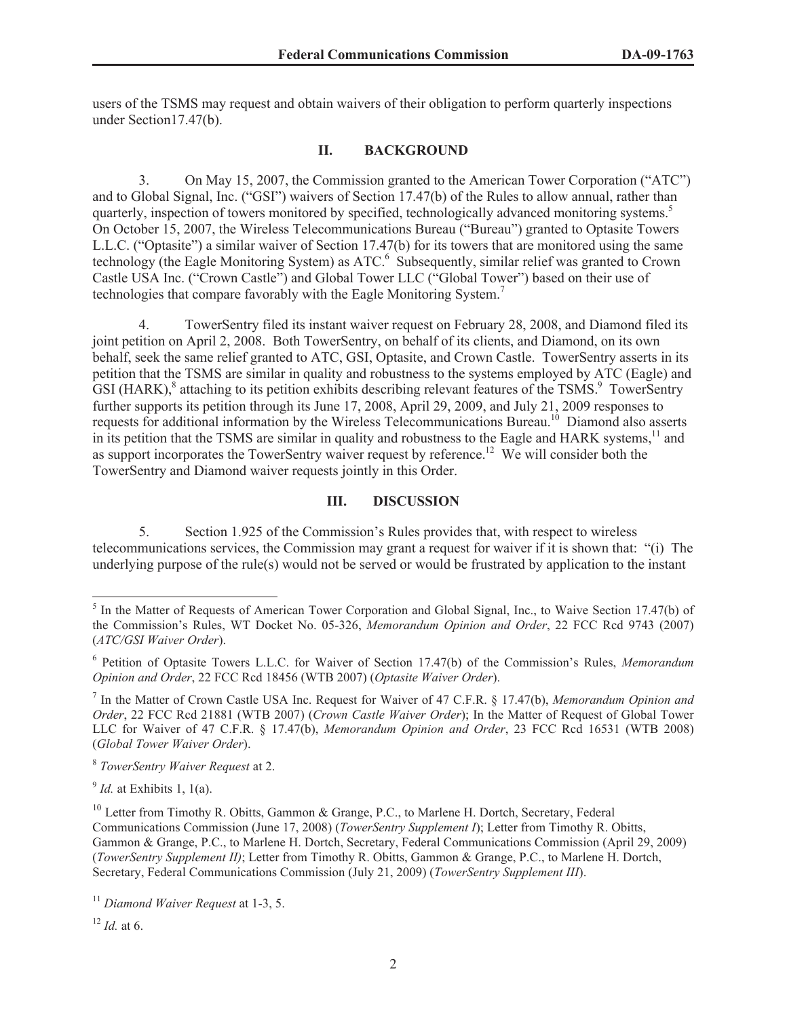users of the TSMS may request and obtain waivers of their obligation to perform quarterly inspections under Section17.47(b).

## **II. BACKGROUND**

3. On May 15, 2007, the Commission granted to the American Tower Corporation ("ATC") and to Global Signal, Inc. ("GSI") waivers of Section 17.47(b) of the Rules to allow annual, rather than quarterly, inspection of towers monitored by specified, technologically advanced monitoring systems.<sup>5</sup> On October 15, 2007, the Wireless Telecommunications Bureau ("Bureau") granted to Optasite Towers L.L.C. ("Optasite") a similar waiver of Section 17.47(b) for its towers that are monitored using the same technology (the Eagle Monitoring System) as ATC.<sup>6</sup> Subsequently, similar relief was granted to Crown Castle USA Inc. ("Crown Castle") and Global Tower LLC ("Global Tower") based on their use of technologies that compare favorably with the Eagle Monitoring System.<sup>7</sup>

4. TowerSentry filed its instant waiver request on February 28, 2008, and Diamond filed its joint petition on April 2, 2008. Both TowerSentry, on behalf of its clients, and Diamond, on its own behalf, seek the same relief granted to ATC, GSI, Optasite, and Crown Castle. TowerSentry asserts in its petition that the TSMS are similar in quality and robustness to the systems employed by ATC (Eagle) and  $\widehat{GSI}$  (HARK), $^8$  attaching to its petition exhibits describing relevant features of the TSMS. $^9$  TowerSentry further supports its petition through its June 17, 2008, April 29, 2009, and July 21, 2009 responses to requests for additional information by the Wireless Telecommunications Bureau.<sup>10</sup> Diamond also asserts in its petition that the TSMS are similar in quality and robustness to the Eagle and HARK systems,<sup>11</sup> and as support incorporates the TowerSentry waiver request by reference.<sup>12</sup> We will consider both the TowerSentry and Diamond waiver requests jointly in this Order.

## **III. DISCUSSION**

5. Section 1.925 of the Commission's Rules provides that, with respect to wireless telecommunications services, the Commission may grant a request for waiver if it is shown that: "(i) The underlying purpose of the rule(s) would not be served or would be frustrated by application to the instant

<sup>&</sup>lt;sup>5</sup> In the Matter of Requests of American Tower Corporation and Global Signal, Inc., to Waive Section 17.47(b) of the Commission's Rules, WT Docket No. 05-326, *Memorandum Opinion and Order*, 22 FCC Rcd 9743 (2007) (*ATC/GSI Waiver Order*).

<sup>6</sup> Petition of Optasite Towers L.L.C. for Waiver of Section 17.47(b) of the Commission's Rules, *Memorandum Opinion and Order*, 22 FCC Rcd 18456 (WTB 2007) (*Optasite Waiver Order*).

<sup>7</sup> In the Matter of Crown Castle USA Inc. Request for Waiver of 47 C.F.R. § 17.47(b), *Memorandum Opinion and Order*, 22 FCC Rcd 21881 (WTB 2007) (*Crown Castle Waiver Order*); In the Matter of Request of Global Tower LLC for Waiver of 47 C.F.R. § 17.47(b), *Memorandum Opinion and Order*, 23 FCC Rcd 16531 (WTB 2008) (*Global Tower Waiver Order*).

<sup>8</sup> *TowerSentry Waiver Request* at 2.

<sup>9</sup> *Id.* at Exhibits 1, 1(a).

<sup>&</sup>lt;sup>10</sup> Letter from Timothy R. Obitts, Gammon & Grange, P.C., to Marlene H. Dortch, Secretary, Federal Communications Commission (June 17, 2008) (*TowerSentry Supplement I*); Letter from Timothy R. Obitts, Gammon & Grange, P.C., to Marlene H. Dortch, Secretary, Federal Communications Commission (April 29, 2009) (*TowerSentry Supplement II)*; Letter from Timothy R. Obitts, Gammon & Grange, P.C., to Marlene H. Dortch, Secretary, Federal Communications Commission (July 21, 2009) (*TowerSentry Supplement III*).

<sup>11</sup> *Diamond Waiver Request* at 1-3, 5.

 $12$  *Id.* at 6.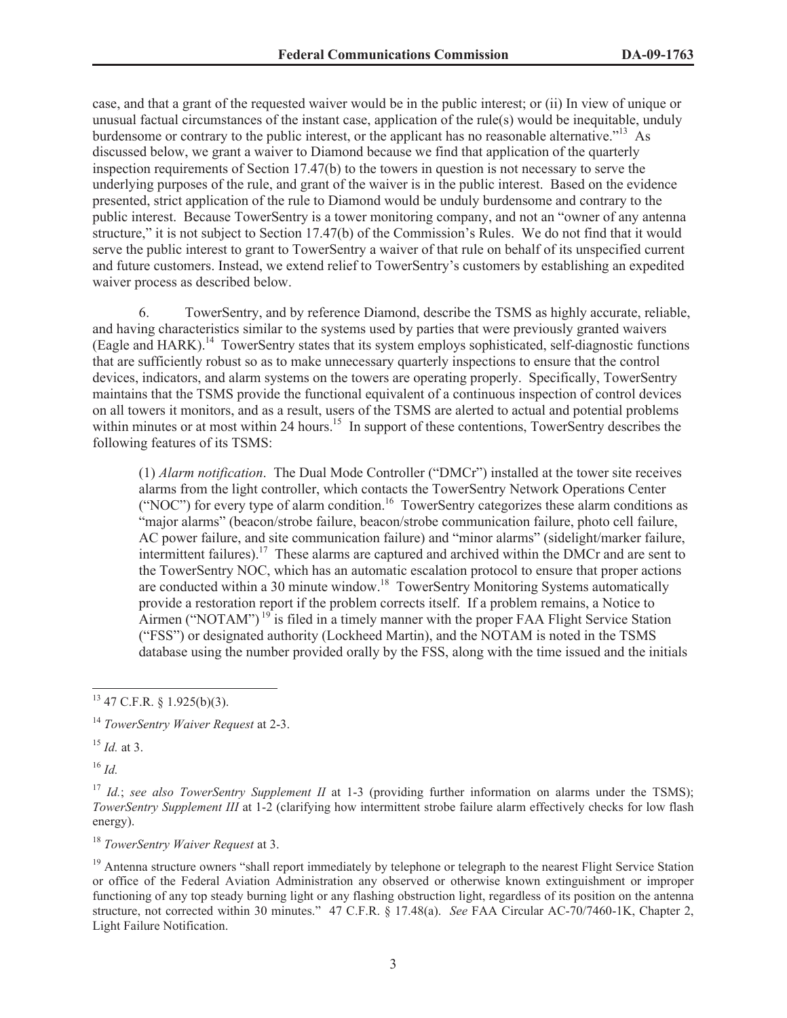case, and that a grant of the requested waiver would be in the public interest; or (ii) In view of unique or unusual factual circumstances of the instant case, application of the rule(s) would be inequitable, unduly burdensome or contrary to the public interest, or the applicant has no reasonable alternative."<sup>13</sup> As discussed below, we grant a waiver to Diamond because we find that application of the quarterly inspection requirements of Section 17.47(b) to the towers in question is not necessary to serve the underlying purposes of the rule, and grant of the waiver is in the public interest. Based on the evidence presented, strict application of the rule to Diamond would be unduly burdensome and contrary to the public interest. Because TowerSentry is a tower monitoring company, and not an "owner of any antenna structure," it is not subject to Section 17.47(b) of the Commission's Rules. We do not find that it would serve the public interest to grant to TowerSentry a waiver of that rule on behalf of its unspecified current and future customers. Instead, we extend relief to TowerSentry's customers by establishing an expedited waiver process as described below.

6. TowerSentry, and by reference Diamond, describe the TSMS as highly accurate, reliable, and having characteristics similar to the systems used by parties that were previously granted waivers (Eagle and HARK).<sup>14</sup> TowerSentry states that its system employs sophisticated, self-diagnostic functions that are sufficiently robust so as to make unnecessary quarterly inspections to ensure that the control devices, indicators, and alarm systems on the towers are operating properly. Specifically, TowerSentry maintains that the TSMS provide the functional equivalent of a continuous inspection of control devices on all towers it monitors, and as a result, users of the TSMS are alerted to actual and potential problems within minutes or at most within 24 hours.<sup>15</sup> In support of these contentions, TowerSentry describes the following features of its TSMS:

(1) *Alarm notification*. The Dual Mode Controller ("DMCr") installed at the tower site receives alarms from the light controller, which contacts the TowerSentry Network Operations Center ("NOC") for every type of alarm condition.<sup>16</sup> TowerSentry categorizes these alarm conditions as "major alarms" (beacon/strobe failure, beacon/strobe communication failure, photo cell failure, AC power failure, and site communication failure) and "minor alarms" (sidelight/marker failure, intermittent failures).<sup>17</sup> These alarms are captured and archived within the DMCr and are sent to the TowerSentry NOC, which has an automatic escalation protocol to ensure that proper actions are conducted within a 30 minute window.<sup>18</sup> TowerSentry Monitoring Systems automatically provide a restoration report if the problem corrects itself. If a problem remains, a Notice to Airmen ("NOTAM")<sup>19</sup> is filed in a timely manner with the proper FAA Flight Service Station ("FSS") or designated authority (Lockheed Martin), and the NOTAM is noted in the TSMS database using the number provided orally by the FSS, along with the time issued and the initials

<sup>16</sup> *Id.* 

<sup>18</sup> *TowerSentry Waiver Request* at 3.

 $13$  47 C.F.R. § 1.925(b)(3).

<sup>14</sup> *TowerSentry Waiver Request* at 2-3.

<sup>15</sup> *Id.* at 3.

<sup>&</sup>lt;sup>17</sup> *Id.*; *see also TowerSentry Supplement II* at 1-3 (providing further information on alarms under the TSMS); *TowerSentry Supplement III* at 1-2 (clarifying how intermittent strobe failure alarm effectively checks for low flash energy).

<sup>&</sup>lt;sup>19</sup> Antenna structure owners "shall report immediately by telephone or telegraph to the nearest Flight Service Station or office of the Federal Aviation Administration any observed or otherwise known extinguishment or improper functioning of any top steady burning light or any flashing obstruction light, regardless of its position on the antenna structure, not corrected within 30 minutes." 47 C.F.R. § 17.48(a). *See* FAA Circular AC-70/7460-1K, Chapter 2, Light Failure Notification.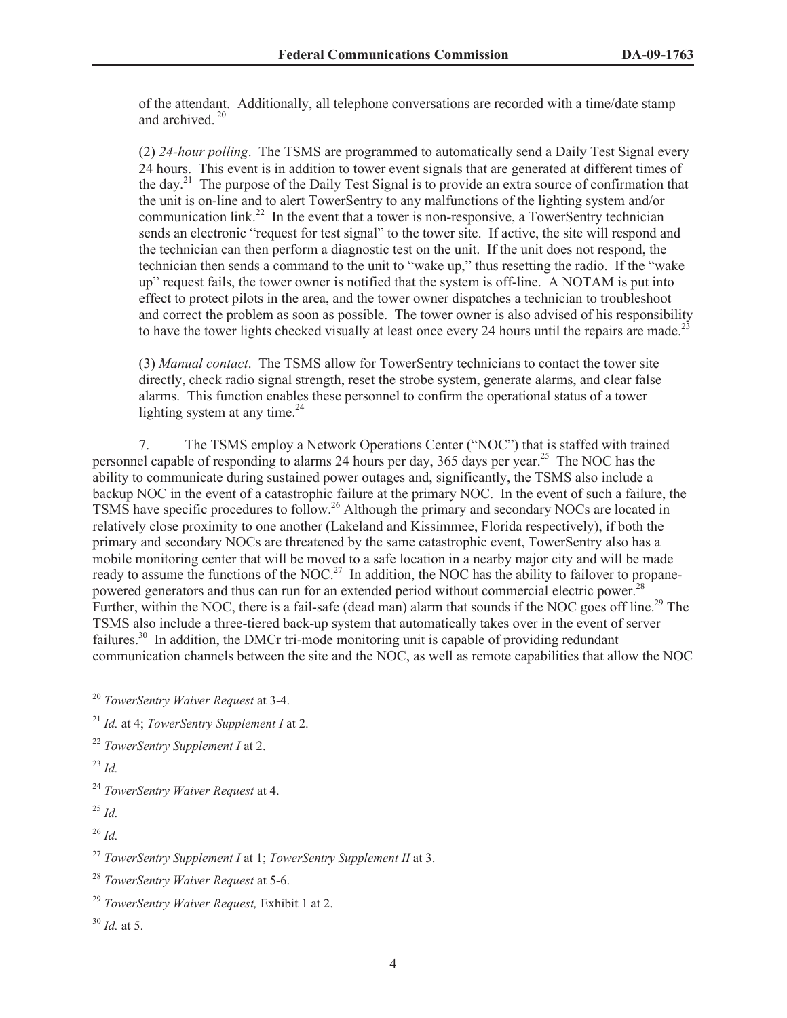of the attendant. Additionally, all telephone conversations are recorded with a time/date stamp and archived  $20$ 

(2) *24-hour polling*. The TSMS are programmed to automatically send a Daily Test Signal every 24 hours. This event is in addition to tower event signals that are generated at different times of the day.<sup>21</sup> The purpose of the Daily Test Signal is to provide an extra source of confirmation that the unit is on-line and to alert TowerSentry to any malfunctions of the lighting system and/or communication link.<sup>22</sup> In the event that a tower is non-responsive, a TowerSentry technician sends an electronic "request for test signal" to the tower site. If active, the site will respond and the technician can then perform a diagnostic test on the unit. If the unit does not respond, the technician then sends a command to the unit to "wake up," thus resetting the radio. If the "wake up" request fails, the tower owner is notified that the system is off-line. A NOTAM is put into effect to protect pilots in the area, and the tower owner dispatches a technician to troubleshoot and correct the problem as soon as possible. The tower owner is also advised of his responsibility to have the tower lights checked visually at least once every 24 hours until the repairs are made.<sup>23</sup>

(3) *Manual contact*. The TSMS allow for TowerSentry technicians to contact the tower site directly, check radio signal strength, reset the strobe system, generate alarms, and clear false alarms. This function enables these personnel to confirm the operational status of a tower lighting system at any time. $^{24}$ 

7. The TSMS employ a Network Operations Center ("NOC") that is staffed with trained personnel capable of responding to alarms 24 hours per day, 365 days per year.<sup>25</sup> The NOC has the ability to communicate during sustained power outages and, significantly, the TSMS also include a backup NOC in the event of a catastrophic failure at the primary NOC. In the event of such a failure, the TSMS have specific procedures to follow.<sup>26</sup> Although the primary and secondary NOCs are located in relatively close proximity to one another (Lakeland and Kissimmee, Florida respectively), if both the primary and secondary NOCs are threatened by the same catastrophic event, TowerSentry also has a mobile monitoring center that will be moved to a safe location in a nearby major city and will be made ready to assume the functions of the NOC.<sup>27</sup> In addition, the NOC has the ability to failover to propanepowered generators and thus can run for an extended period without commercial electric power.<sup>28</sup> Further, within the NOC, there is a fail-safe (dead man) alarm that sounds if the NOC goes off line.<sup>29</sup> The TSMS also include a three-tiered back-up system that automatically takes over in the event of server failures.<sup>30</sup> In addition, the DMCr tri-mode monitoring unit is capable of providing redundant communication channels between the site and the NOC, as well as remote capabilities that allow the NOC

<sup>26</sup> *Id.*

<sup>27</sup> *TowerSentry Supplement I* at 1; *TowerSentry Supplement II* at 3.

<sup>20</sup> *TowerSentry Waiver Request* at 3-4.

<sup>21</sup> *Id.* at 4; *TowerSentry Supplement I* at 2.

<sup>22</sup> *TowerSentry Supplement I* at 2.

<sup>23</sup> *Id.*

<sup>24</sup> *TowerSentry Waiver Request* at 4.

<sup>25</sup> *Id.*

<sup>28</sup> *TowerSentry Waiver Request* at 5-6.

<sup>29</sup> *TowerSentry Waiver Request,* Exhibit 1 at 2.

<sup>30</sup> *Id.* at 5.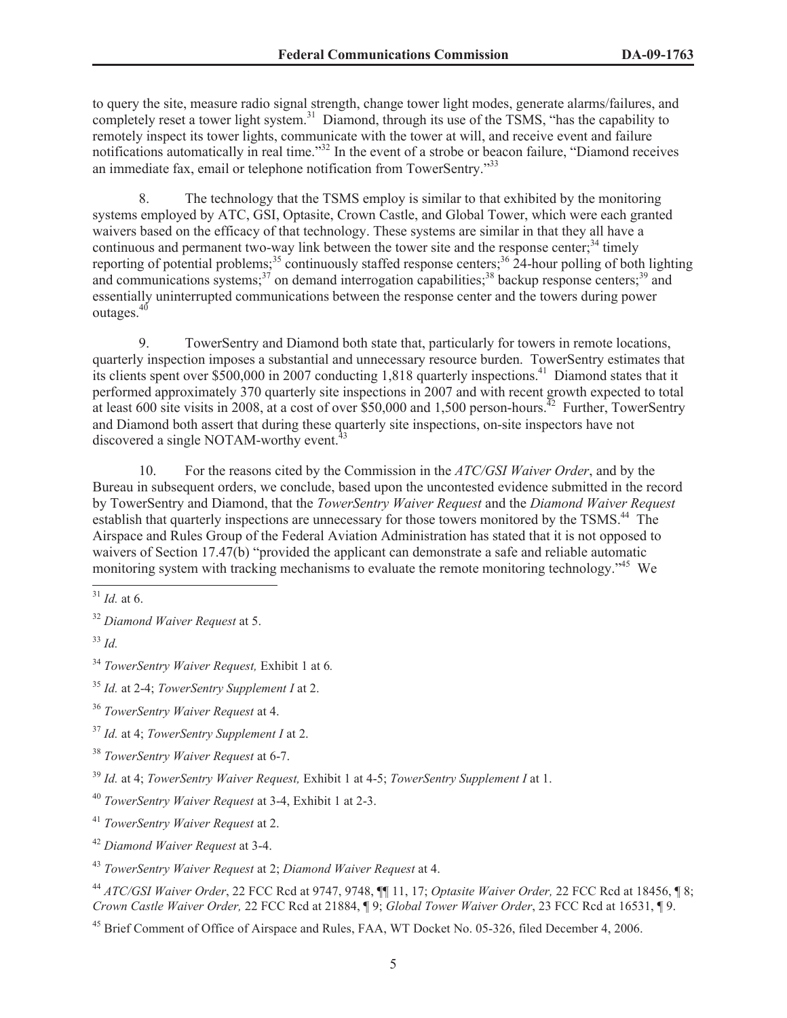to query the site, measure radio signal strength, change tower light modes, generate alarms/failures, and completely reset a tower light system.<sup>31</sup> Diamond, through its use of the TSMS, "has the capability to remotely inspect its tower lights, communicate with the tower at will, and receive event and failure notifications automatically in real time."<sup>32</sup> In the event of a strobe or beacon failure, "Diamond receives an immediate fax, email or telephone notification from TowerSentry."<sup>33</sup>

8. The technology that the TSMS employ is similar to that exhibited by the monitoring systems employed by ATC, GSI, Optasite, Crown Castle, and Global Tower, which were each granted waivers based on the efficacy of that technology. These systems are similar in that they all have a continuous and permanent two-way link between the tower site and the response center;<sup>34</sup> timely reporting of potential problems;<sup>35</sup> continuously staffed response centers;<sup>36</sup> 24-hour polling of both lighting and communications systems; $37$  on demand interrogation capabilities; $38$  backup response centers; $39$  and essentially uninterrupted communications between the response center and the towers during power outages.<sup>40</sup>

9. TowerSentry and Diamond both state that, particularly for towers in remote locations, quarterly inspection imposes a substantial and unnecessary resource burden. TowerSentry estimates that its clients spent over \$500,000 in 2007 conducting 1,818 quarterly inspections.<sup>41</sup> Diamond states that it performed approximately 370 quarterly site inspections in 2007 and with recent growth expected to total at least 600 site visits in 2008, at a cost of over \$50,000 and 1,500 person-hours.<sup> $42$ </sup> Further, TowerSentry and Diamond both assert that during these quarterly site inspections, on-site inspectors have not discovered a single NOTAM-worthy event.<sup>4</sup>

10. For the reasons cited by the Commission in the *ATC/GSI Waiver Order*, and by the Bureau in subsequent orders, we conclude, based upon the uncontested evidence submitted in the record by TowerSentry and Diamond, that the *TowerSentry Waiver Request* and the *Diamond Waiver Request*  establish that quarterly inspections are unnecessary for those towers monitored by the TSMS.<sup>44</sup> The Airspace and Rules Group of the Federal Aviation Administration has stated that it is not opposed to waivers of Section 17.47(b) "provided the applicant can demonstrate a safe and reliable automatic monitoring system with tracking mechanisms to evaluate the remote monitoring technology.<sup>45</sup> We

<sup>31</sup> *Id.* at 6.

<sup>32</sup> *Diamond Waiver Request* at 5.

<sup>33</sup> *Id.*

<sup>34</sup> *TowerSentry Waiver Request,* Exhibit 1 at 6*.* 

<sup>35</sup> *Id.* at 2-4; *TowerSentry Supplement I* at 2.

<sup>36</sup> *TowerSentry Waiver Request* at 4.

<sup>37</sup> *Id.* at 4; *TowerSentry Supplement I* at 2.

<sup>38</sup> *TowerSentry Waiver Request* at 6-7.

<sup>39</sup> *Id.* at 4; *TowerSentry Waiver Request,* Exhibit 1 at 4-5; *TowerSentry Supplement I* at 1.

<sup>40</sup> *TowerSentry Waiver Request* at 3-4, Exhibit 1 at 2-3.

<sup>41</sup> *TowerSentry Waiver Request* at 2.

<sup>42</sup> *Diamond Waiver Request* at 3-4.

<sup>43</sup> *TowerSentry Waiver Request* at 2; *Diamond Waiver Request* at 4.

<sup>44</sup> *ATC/GSI Waiver Order*, 22 FCC Rcd at 9747, 9748, ¶¶ 11, 17; *Optasite Waiver Order,* 22 FCC Rcd at 18456, ¶ 8; *Crown Castle Waiver Order,* 22 FCC Rcd at 21884, ¶ 9; *Global Tower Waiver Order*, 23 FCC Rcd at 16531, ¶ 9.

<sup>&</sup>lt;sup>45</sup> Brief Comment of Office of Airspace and Rules, FAA, WT Docket No. 05-326, filed December 4, 2006.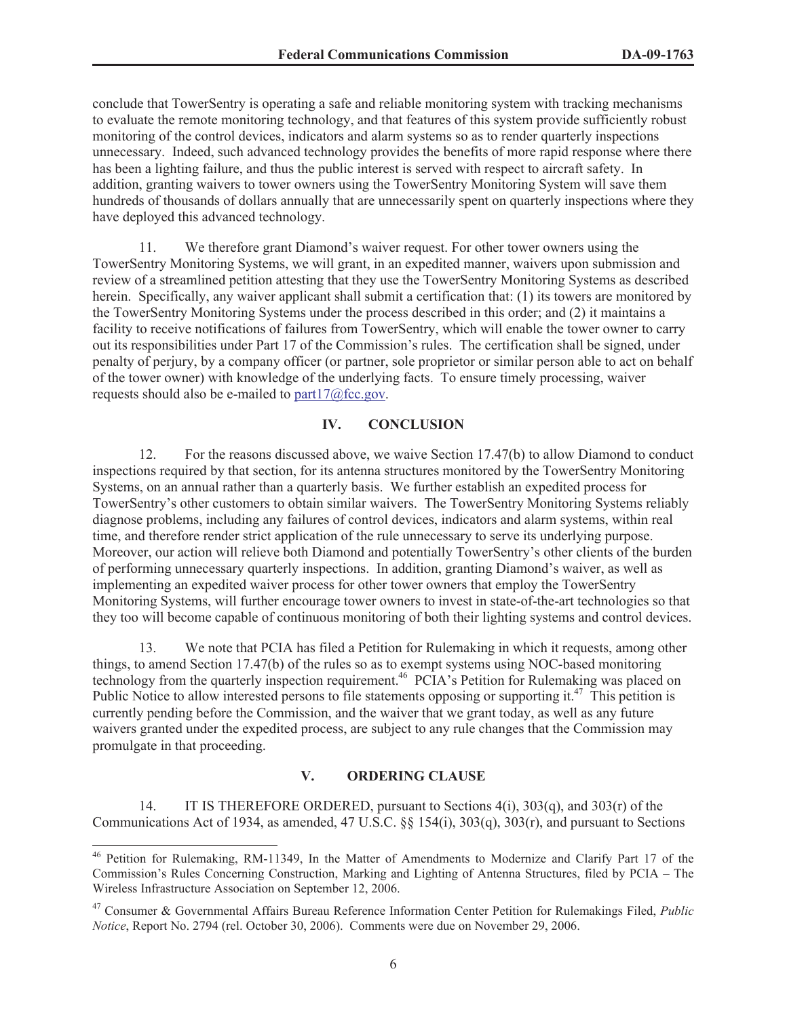conclude that TowerSentry is operating a safe and reliable monitoring system with tracking mechanisms to evaluate the remote monitoring technology, and that features of this system provide sufficiently robust monitoring of the control devices, indicators and alarm systems so as to render quarterly inspections unnecessary. Indeed, such advanced technology provides the benefits of more rapid response where there has been a lighting failure, and thus the public interest is served with respect to aircraft safety. In addition, granting waivers to tower owners using the TowerSentry Monitoring System will save them hundreds of thousands of dollars annually that are unnecessarily spent on quarterly inspections where they have deployed this advanced technology.

11. We therefore grant Diamond's waiver request. For other tower owners using the TowerSentry Monitoring Systems, we will grant, in an expedited manner, waivers upon submission and review of a streamlined petition attesting that they use the TowerSentry Monitoring Systems as described herein. Specifically, any waiver applicant shall submit a certification that: (1) its towers are monitored by the TowerSentry Monitoring Systems under the process described in this order; and (2) it maintains a facility to receive notifications of failures from TowerSentry, which will enable the tower owner to carry out its responsibilities under Part 17 of the Commission's rules. The certification shall be signed, under penalty of perjury, by a company officer (or partner, sole proprietor or similar person able to act on behalf of the tower owner) with knowledge of the underlying facts. To ensure timely processing, waiver requests should also be e-mailed to part $17\omega$  fcc.gov.

## **IV. CONCLUSION**

12. For the reasons discussed above, we waive Section 17.47(b) to allow Diamond to conduct inspections required by that section, for its antenna structures monitored by the TowerSentry Monitoring Systems, on an annual rather than a quarterly basis. We further establish an expedited process for TowerSentry's other customers to obtain similar waivers. The TowerSentry Monitoring Systems reliably diagnose problems, including any failures of control devices, indicators and alarm systems, within real time, and therefore render strict application of the rule unnecessary to serve its underlying purpose. Moreover, our action will relieve both Diamond and potentially TowerSentry's other clients of the burden of performing unnecessary quarterly inspections. In addition, granting Diamond's waiver, as well as implementing an expedited waiver process for other tower owners that employ the TowerSentry Monitoring Systems, will further encourage tower owners to invest in state-of-the-art technologies so that they too will become capable of continuous monitoring of both their lighting systems and control devices.

13. We note that PCIA has filed a Petition for Rulemaking in which it requests, among other things, to amend Section 17.47(b) of the rules so as to exempt systems using NOC-based monitoring technology from the quarterly inspection requirement.<sup>46</sup> PCIA's Petition for Rulemaking was placed on Public Notice to allow interested persons to file statements opposing or supporting it.<sup>47</sup> This petition is currently pending before the Commission, and the waiver that we grant today, as well as any future waivers granted under the expedited process, are subject to any rule changes that the Commission may promulgate in that proceeding.

#### **V. ORDERING CLAUSE**

14. IT IS THEREFORE ORDERED, pursuant to Sections 4(i), 303(q), and 303(r) of the Communications Act of 1934, as amended, 47 U.S.C. §§ 154(i), 303(q), 303(r), and pursuant to Sections

<sup>46</sup> Petition for Rulemaking, RM-11349, In the Matter of Amendments to Modernize and Clarify Part 17 of the Commission's Rules Concerning Construction, Marking and Lighting of Antenna Structures, filed by PCIA – The Wireless Infrastructure Association on September 12, 2006.

<sup>47</sup> Consumer & Governmental Affairs Bureau Reference Information Center Petition for Rulemakings Filed, *Public Notice*, Report No. 2794 (rel. October 30, 2006). Comments were due on November 29, 2006.